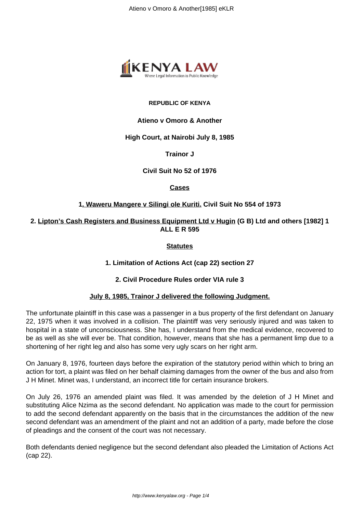

#### **REPUBLIC OF KENYA**

# **Atieno v Omoro & Another**

#### **High Court, at Nairobi July 8, 1985**

# **Trainor J**

**Civil Suit No 52 of 1976**

**Cases**

# **1. Waweru Mangere v Silingi ole Kuriti. Civil Suit No 554 of 1973**

**2. Lipton's Cash Registers and Business Equipment Ltd v Hugin (G B) Ltd and others [1982] 1 ALL E R 595**

**Statutes**

# **1. Limitation of Actions Act (cap 22) section 27**

# **2. Civil Procedure Rules order VIA rule 3**

# **July 8, 1985, Trainor J delivered the following Judgment.**

The unfortunate plaintiff in this case was a passenger in a bus property of the first defendant on January 22, 1975 when it was involved in a collision. The plaintiff was very seriously injured and was taken to hospital in a state of unconsciousness. She has, I understand from the medical evidence, recovered to be as well as she will ever be. That condition, however, means that she has a permanent limp due to a shortening of her right leg and also has some very ugly scars on her right arm.

On January 8, 1976, fourteen days before the expiration of the statutory period within which to bring an action for tort, a plaint was filed on her behalf claiming damages from the owner of the bus and also from J H Minet. Minet was, I understand, an incorrect title for certain insurance brokers.

On July 26, 1976 an amended plaint was filed. It was amended by the deletion of J H Minet and substituting Alice Nzima as the second defendant. No application was made to the court for permission to add the second defendant apparently on the basis that in the circumstances the addition of the new second defendant was an amendment of the plaint and not an addition of a party, made before the close of pleadings and the consent of the court was not necessary.

Both defendants denied negligence but the second defendant also pleaded the Limitation of Actions Act (cap 22).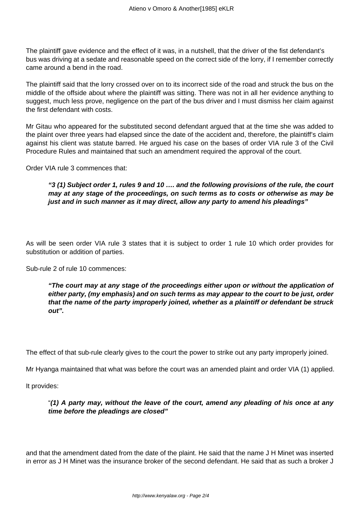The plaintiff gave evidence and the effect of it was, in a nutshell, that the driver of the fist defendant's bus was driving at a sedate and reasonable speed on the correct side of the lorry, if I remember correctly came around a bend in the road.

The plaintiff said that the lorry crossed over on to its incorrect side of the road and struck the bus on the middle of the offside about where the plaintiff was sitting. There was not in all her evidence anything to suggest, much less prove, negligence on the part of the bus driver and I must dismiss her claim against the first defendant with costs.

Mr Gitau who appeared for the substituted second defendant argued that at the time she was added to the plaint over three years had elapsed since the date of the accident and, therefore, the plaintiff's claim against his client was statute barred. He argued his case on the bases of order VIA rule 3 of the Civil Procedure Rules and maintained that such an amendment required the approval of the court.

Order VIA rule 3 commences that:

**"3 (1) Subject order 1, rules 9 and 10 …. and the following provisions of the rule, the court may at any stage of the proceedings, on such terms as to costs or otherwise as may be just and in such manner as it may direct, allow any party to amend his pleadings"** 

As will be seen order VIA rule 3 states that it is subject to order 1 rule 10 which order provides for substitution or addition of parties.

Sub-rule 2 of rule 10 commences:

**"The court may at any stage of the proceedings either upon or without the application of either party, (my emphasis) and on such terms as may appear to the court to be just, order that the name of the party improperly joined, whether as a plaintiff or defendant be struck out".** 

The effect of that sub-rule clearly gives to the court the power to strike out any party improperly joined.

Mr Hyanga maintained that what was before the court was an amended plaint and order VIA (1) applied.

It provides:

"**(1) A party may, without the leave of the court, amend any pleading of his once at any time before the pleadings are closed"**

and that the amendment dated from the date of the plaint. He said that the name J H Minet was inserted in error as J H Minet was the insurance broker of the second defendant. He said that as such a broker J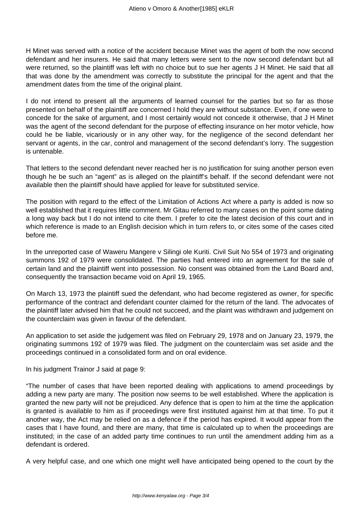H Minet was served with a notice of the accident because Minet was the agent of both the now second defendant and her insurers. He said that many letters were sent to the now second defendant but all were returned, so the plaintiff was left with no choice but to sue her agents J H Minet. He said that all that was done by the amendment was correctly to substitute the principal for the agent and that the amendment dates from the time of the original plaint.

I do not intend to present all the arguments of learned counsel for the parties but so far as those presented on behalf of the plaintiff are concerned I hold they are without substance. Even, if one were to concede for the sake of argument, and I most certainly would not concede it otherwise, that J H Minet was the agent of the second defendant for the purpose of effecting insurance on her motor vehicle, how could he be liable, vicariously or in any other way, for the negligence of the second defendant her servant or agents, in the car, control and management of the second defendant's lorry. The suggestion is untenable.

That letters to the second defendant never reached her is no justification for suing another person even though he be such an "agent" as is alleged on the plaintiff's behalf. If the second defendant were not available then the plaintiff should have applied for leave for substituted service.

The position with regard to the effect of the Limitation of Actions Act where a party is added is now so well established that it requires little comment. Mr Gitau referred to many cases on the point some dating a long way back but I do not intend to cite them. I prefer to cite the latest decision of this court and in which reference is made to an English decision which in turn refers to, or cites some of the cases cited before me.

In the unreported case of Waweru Mangere v Silingi ole Kuriti. Civil Suit No 554 of 1973 and originating summons 192 of 1979 were consolidated. The parties had entered into an agreement for the sale of certain land and the plaintiff went into possession. No consent was obtained from the Land Board and, consequently the transaction became void on April 19, 1965.

On March 13, 1973 the plaintiff sued the defendant, who had become registered as owner, for specific performance of the contract and defendant counter claimed for the return of the land. The advocates of the plaintiff later advised him that he could not succeed, and the plaint was withdrawn and judgement on the counterclaim was given in favour of the defendant.

An application to set aside the judgement was filed on February 29, 1978 and on January 23, 1979, the originating summons 192 of 1979 was filed. The judgment on the counterclaim was set aside and the proceedings continued in a consolidated form and on oral evidence.

In his judgment Trainor J said at page 9:

"The number of cases that have been reported dealing with applications to amend proceedings by adding a new party are many. The position now seems to be well established. Where the application is granted the new party will not be prejudiced. Any defence that is open to him at the time the application is granted is available to him as if proceedings were first instituted against him at that time. To put it another way, the Act may be relied on as a defence if the period has expired. It would appear from the cases that I have found, and there are many, that time is calculated up to when the proceedings are instituted; in the case of an added party time continues to run until the amendment adding him as a defendant is ordered.

A very helpful case, and one which one might well have anticipated being opened to the court by the